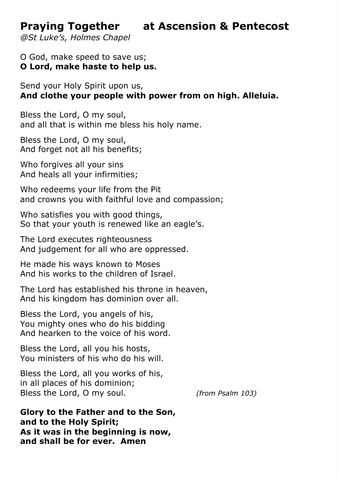**Praying Together at Ascension & Pentecost** 

*@St Luke's, Holmes Chapel*

O God, make speed to save us; **O Lord, make haste to help us.**

Send your Holy Spirit upon us, **And clothe your people with power from on high. Alleluia.**

Bless the Lord, O my soul, and all that is within me bless his holy name.

Bless the Lord, O my soul, And forget not all his benefits;

Who forgives all your sins And heals all your infirmities;

Who redeems your life from the Pit and crowns you with faithful love and compassion;

Who satisfies you with good things, So that your youth is renewed like an eagle's.

The Lord executes righteousness And judgement for all who are oppressed.

He made his ways known to Moses And his works to the children of Israel.

The Lord has established his throne in heaven, And his kingdom has dominion over all.

Bless the Lord, you angels of his, You mighty ones who do his bidding And hearken to the voice of his word.

Bless the Lord, all you his hosts, You ministers of his who do his will.

Bless the Lord, all you works of his, in all places of his dominion; Bless the Lord, O my soul. *(from Psalm 103)* 

**Glory to the Father and to the Son, and to the Holy Spirit; As it was in the beginning is now, and shall be for ever. Amen**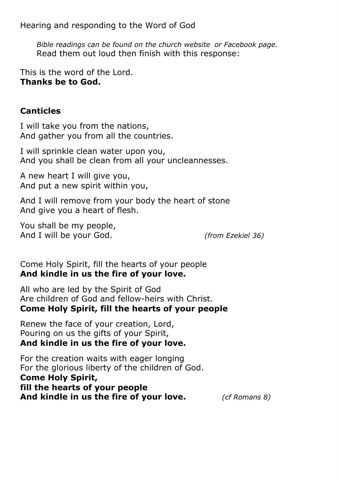Hearing and responding to the Word of God

*Bible readings can be found on the church website or Facebook page .*  Read them out loud then finish with this response:

This is the word of the Lord. **Thanks be to God.** 

## **Canticles**

I will take you from the nations, And gather you from all the countries.

I will sprinkle clean water upon you, And you shall be clean from all your uncleannesses.

A new heart I will give you, And put a new spirit within you,

And I will remove from your body the heart of stone And give you a heart of flesh.

You shall be my people, And I will be your God. *(from Ezekiel 36)* 

Come Holy Spirit, fill the hearts of your people **And kindle in us the fire of your love.** 

All who are led by the Spirit of God Are children of God and fellow-heirs with Christ. **Come Holy Spirit, fill the hearts of your people** 

Renew the face of your creation, Lord, Pouring on us the gifts of your Spirit, **And kindle in us the fire of your love.** 

For the creation waits with eager longing For the glorious liberty of the children of God. **Come Holy Spirit, fill the hearts of your people And kindle in us the fire of your love.** *(cf Romans 8)*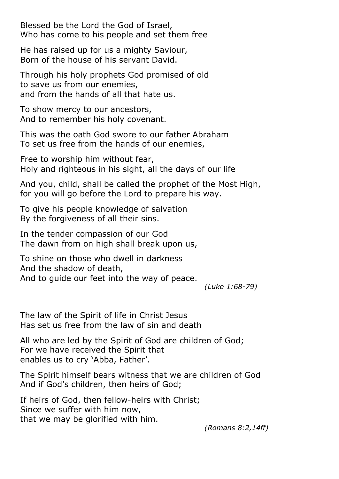Blessed be the Lord the God of Israel, Who has come to his people and set them free

He has raised up for us a mighty Saviour, Born of the house of his servant David.

Through his holy prophets God promised of old to save us from our enemies, and from the hands of all that hate us.

To show mercy to our ancestors, And to remember his holy covenant.

This was the oath God swore to our father Abraham To set us free from the hands of our enemies,

Free to worship him without fear, Holy and righteous in his sight, all the days of our life

And you, child, shall be called the prophet of the Most High, for you will go before the Lord to prepare his way.

To give his people knowledge of salvation By the forgiveness of all their sins.

In the tender compassion of our God The dawn from on high shall break upon us,

To shine on those who dwell in darkness And the shadow of death, And to guide our feet into the way of peace.

*(Luke 1:68-79)* 

The law of the Spirit of life in Christ Jesus Has set us free from the law of sin and death

All who are led by the Spirit of God are children of God; For we have received the Spirit that enables us to cry 'Abba, Father'.

The Spirit himself bears witness that we are children of God And if God's children, then heirs of God;

If heirs of God, then fellow-heirs with Christ; Since we suffer with him now, that we may be glorified with him.

*(Romans 8:2,14ff)*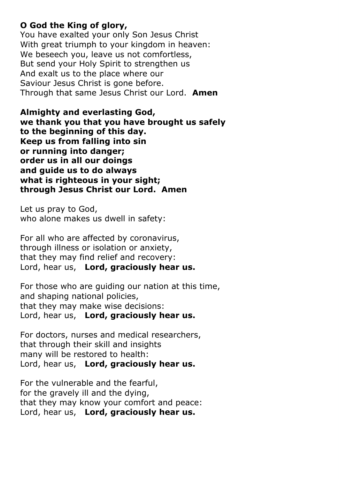## **O God the King of glory,**

You have exalted your only Son Jesus Christ With great triumph to your kingdom in heaven: We beseech you, leave us not comfortless, But send your Holy Spirit to strengthen us And exalt us to the place where our Saviour Jesus Christ is gone before. Through that same Jesus Christ our Lord. **Amen**

**Almighty and everlasting God, we thank you that you have brought us safely to the beginning of this day. Keep us from falling into sin or running into danger; order us in all our doings and guide us to do always what is righteous in your sight; through Jesus Christ our Lord. Amen**

Let us pray to God, who alone makes us dwell in safety:

For all who are affected by coronavirus, through illness or isolation or anxiety, that they may find relief and recovery: Lord, hear us, **Lord, graciously hear us.**

For those who are guiding our nation at this time, and shaping national policies, that they may make wise decisions: Lord, hear us, **Lord, graciously hear us.**

For doctors, nurses and medical researchers, that through their skill and insights many will be restored to health: Lord, hear us, **Lord, graciously hear us.**

For the vulnerable and the fearful, for the gravely ill and the dying, that they may know your comfort and peace: Lord, hear us, **Lord, graciously hear us.**